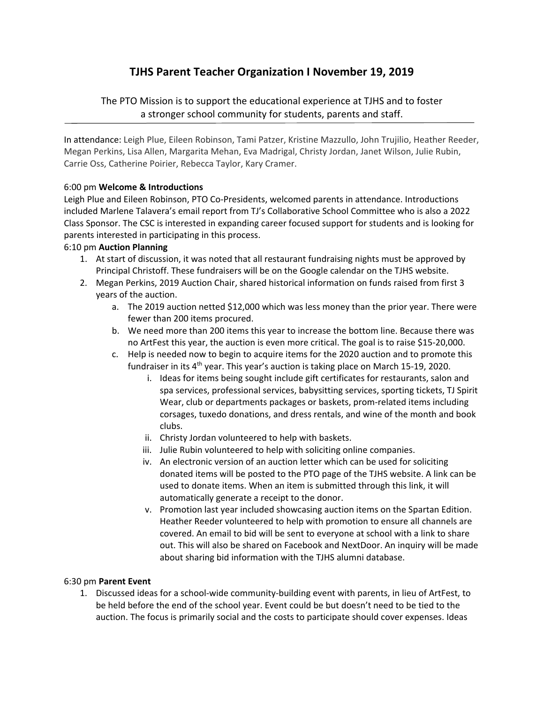# **TJHS Parent Teacher Organization I November 19, 2019**

The PTO Mission is to support the educational experience at TJHS and to foster a stronger school community for students, parents and staff.

In attendance: Leigh Plue, Eileen Robinson, Tami Patzer, Kristine Mazzullo, John Trujilio, Heather Reeder, Megan Perkins, Lisa Allen, Margarita Mehan, Eva Madrigal, Christy Jordan, Janet Wilson, Julie Rubin, Carrie Oss, Catherine Poirier, Rebecca Taylor, Kary Cramer.

# 6:00 pm **Welcome & Introductions**

Leigh Plue and Eileen Robinson, PTO Co‐Presidents, welcomed parents in attendance. Introductions included Marlene Talavera's email report from TJ's Collaborative School Committee who is also a 2022 Class Sponsor. The CSC is interested in expanding career focused support for students and is looking for parents interested in participating in this process.

# 6:10 pm **Auction Planning**

- 1. At start of discussion, it was noted that all restaurant fundraising nights must be approved by Principal Christoff. These fundraisers will be on the Google calendar on the TJHS website.
- 2. Megan Perkins, 2019 Auction Chair, shared historical information on funds raised from first 3 years of the auction.
	- a. The 2019 auction netted \$12,000 which was less money than the prior year. There were fewer than 200 items procured.
	- b. We need more than 200 items this year to increase the bottom line. Because there was no ArtFest this year, the auction is even more critical. The goal is to raise \$15‐20,000.
	- c. Help is needed now to begin to acquire items for the 2020 auction and to promote this fundraiser in its  $4<sup>th</sup>$  year. This year's auction is taking place on March 15-19, 2020.
		- i. Ideas for items being sought include gift certificates for restaurants, salon and spa services, professional services, babysitting services, sporting tickets, TJ Spirit Wear, club or departments packages or baskets, prom-related items including corsages, tuxedo donations, and dress rentals, and wine of the month and book clubs.
		- ii. Christy Jordan volunteered to help with baskets.
		- iii. Julie Rubin volunteered to help with soliciting online companies.
		- iv. An electronic version of an auction letter which can be used for soliciting donated items will be posted to the PTO page of the TJHS website. A link can be used to donate items. When an item is submitted through this link, it will automatically generate a receipt to the donor.
		- v. Promotion last year included showcasing auction items on the Spartan Edition. Heather Reeder volunteered to help with promotion to ensure all channels are covered. An email to bid will be sent to everyone at school with a link to share out. This will also be shared on Facebook and NextDoor. An inquiry will be made about sharing bid information with the TJHS alumni database.

#### 6:30 pm **Parent Event**

1. Discussed ideas for a school‐wide community‐building event with parents, in lieu of ArtFest, to be held before the end of the school year. Event could be but doesn't need to be tied to the auction. The focus is primarily social and the costs to participate should cover expenses. Ideas